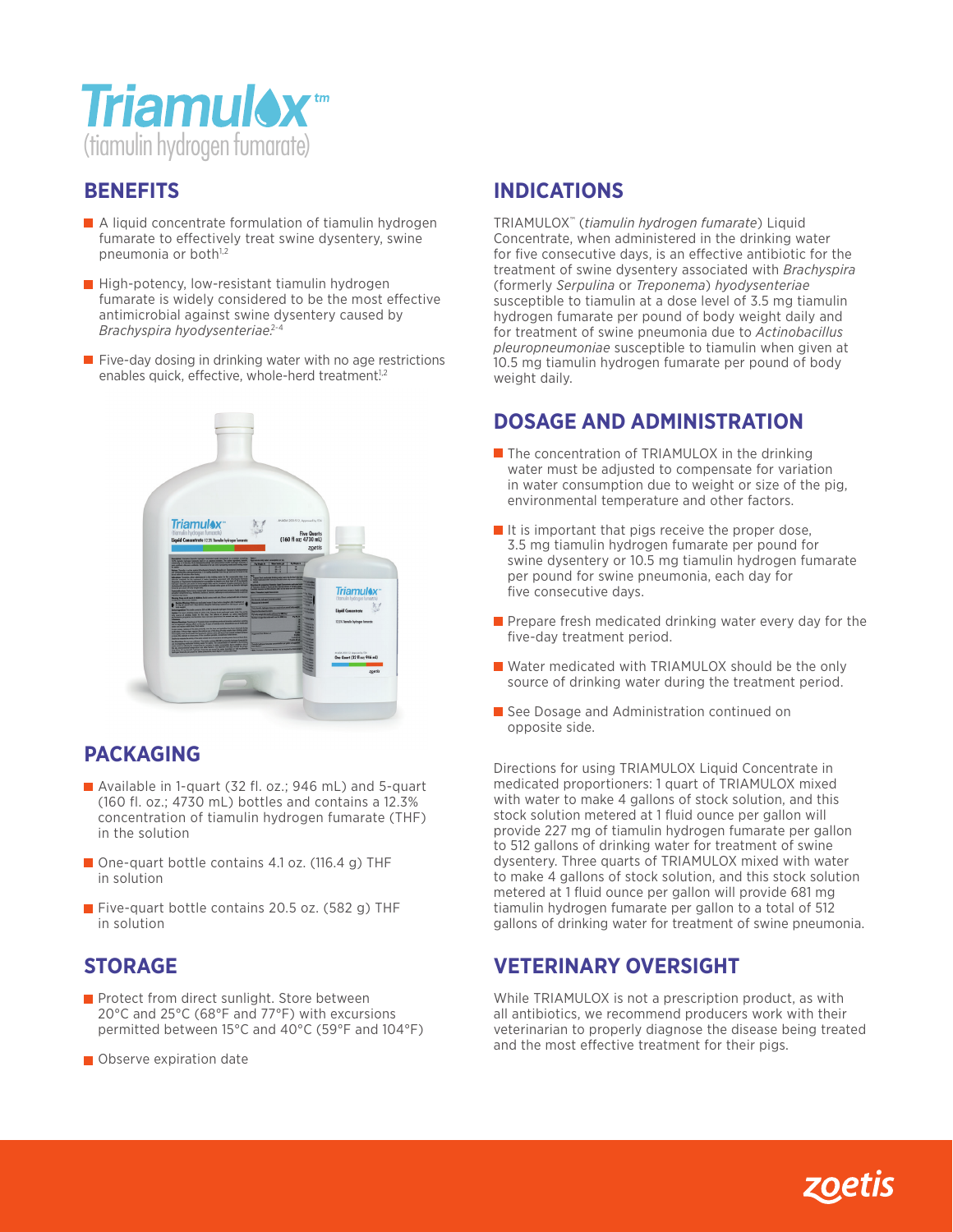

#### **BENEFITS**

- **A liquid concentrate formulation of tiamulin hydrogen** fumarate to effectively treat swine dysentery, swine pneumonia or both<sup>1,2</sup>
- **High-potency, low-resistant tiamulin hydrogen** fumarate is widely considered to be the most effective antimicrobial against swine dysentery caused by *Brachyspira hyodysenteriae.*2-4
- $\blacksquare$  Five-day dosing in drinking water with no age restrictions enables quick, effective, whole-herd treatment<sup>1,2</sup>



## **PACKAGING**

- Available in 1-quart (32 fl. oz.; 946 mL) and 5-quart (160 fl. oz.; 4730 mL) bottles and contains a 12.3% concentration of tiamulin hydrogen fumarate (THF) in the solution
- One-quart bottle contains 4.1 oz. (116.4 g) THF in solution
- **Five-quart bottle contains 20.5 oz. (582 g) THF** in solution

## **STORAGE**

- **Protect from direct sunlight. Store between** 20°C and 25°C (68°F and 77°F) with excursions permitted between 15°C and 40°C (59°F and 104°F)
- **Observe expiration date**

## **INDICATIONS**

TRIAMULOX™ (*tiamulin hydrogen fumarate*) Liquid Concentrate, when administered in the drinking water for five consecutive days, is an effective antibiotic for the treatment of swine dysentery associated with *Brachyspira* (formerly *Serpulina* or *Treponema*) *hyodysenteriae* susceptible to tiamulin at a dose level of 3.5 mg tiamulin hydrogen fumarate per pound of body weight daily and for treatment of swine pneumonia due to *Actinobacillus pleuropneumoniae* susceptible to tiamulin when given at 10.5 mg tiamulin hydrogen fumarate per pound of body weight daily.

## **DOSAGE AND ADMINISTRATION**

- **The concentration of TRIAMULOX in the drinking** water must be adjusted to compensate for variation in water consumption due to weight or size of the pig, environmental temperature and other factors.
- $\blacksquare$  It is important that pigs receive the proper dose, 3.5 mg tiamulin hydrogen fumarate per pound for swine dysentery or 10.5 mg tiamulin hydrogen fumarate per pound for swine pneumonia, each day for five consecutive days.
- $\blacksquare$  Prepare fresh medicated drinking water every day for the five-day treatment period.
- Water medicated with TRIAMULOX should be the only source of drinking water during the treatment period.
- See Dosage and Administration continued on opposite side.

Directions for using TRIAMULOX Liquid Concentrate in medicated proportioners: 1 quart of TRIAMULOX mixed with water to make 4 gallons of stock solution, and this stock solution metered at 1 fluid ounce per gallon will provide 227 mg of tiamulin hydrogen fumarate per gallon to 512 gallons of drinking water for treatment of swine dysentery. Three quarts of TRIAMULOX mixed with water to make 4 gallons of stock solution, and this stock solution metered at 1 fluid ounce per gallon will provide 681 mg tiamulin hydrogen fumarate per gallon to a total of 512 gallons of drinking water for treatment of swine pneumonia.

#### **VETERINARY OVERSIGHT**

While TRIAMULOX is not a prescription product, as with all antibiotics, we recommend producers work with their veterinarian to properly diagnose the disease being treated and the most effective treatment for their pigs.